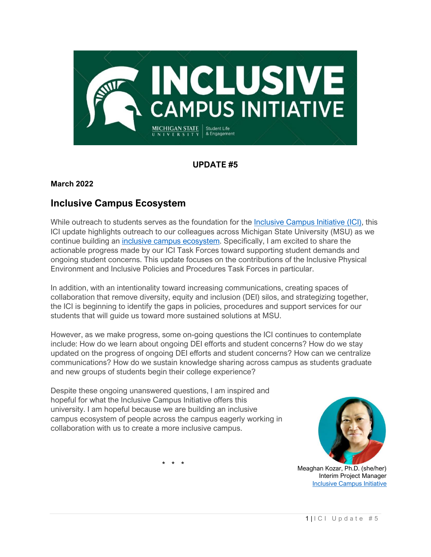

### **UPDATE #5**

#### **March 2022**

## **Inclusive Campus Ecosystem**

While outreach to students serves as the foundation for the [Inclusive Campus Initiative \(ICI\),](https://ocat.msu.edu/inclusive-campus-initiative/) this ICI update highlights outreach to our colleagues across Michigan State University (MSU) as we continue building an inclusive campus [ecosystem.](https://ocat.msu.edu/ici-campus-ecosystem/) Specifically, I am excited to share the actionable progress made by our ICI Task Forces toward supporting student demands and ongoing student concerns. This update focuses on the contributions of the Inclusive Physical Environment and Inclusive Policies and Procedures Task Forces in particular.

In addition, with an intentionality toward increasing communications, creating spaces of collaboration that remove diversity, equity and inclusion (DEI) silos, and strategizing together, the ICI is beginning to identify the gaps in policies, procedures and support services for our students that will guide us toward more sustained solutions at MSU.

However, as we make progress, some on-going questions the ICI continues to contemplate include: How do we learn about ongoing DEI efforts and student concerns? How do we stay updated on the progress of ongoing DEI efforts and student concerns? How can we centralize communications? How do we sustain knowledge sharing across campus as students graduate and new groups of students begin their college experience?

Despite these ongoing unanswered questions, I am inspired and hopeful for what the Inclusive Campus Initiative offers this university. I am hopeful because we are building an inclusive campus ecosystem of people across the campus eagerly working in collaboration with us to create a more inclusive campus.



Meaghan Kozar, Ph.D. (she/her) Interim Project Manager [Inclusive Campus Initiative](https://ocat.msu.edu/inclusive-campus-initiative/)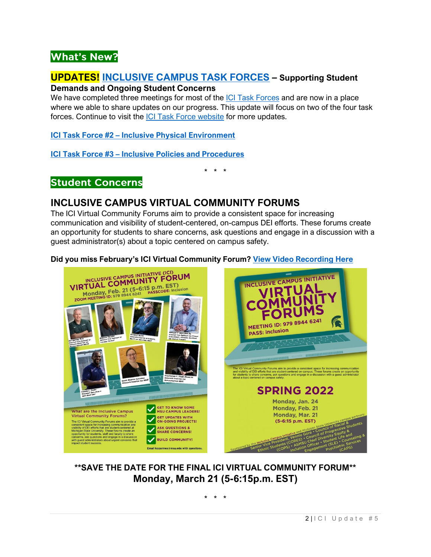# **What's New?**

## **UPDATES! [INCLUSIVE CAMPUS TASK FORCES](https://ocat.msu.edu/ici-task-forces/) – Supporting Student**

#### **Demands and Ongoing Student Concerns**

We have completed three meetings for most of the [ICI Task Forces](https://ocat.msu.edu/ici-task-forces/) and are now in a place where we able to share updates on our progress. This update will focus on two of the four task forces. Continue to visit the [ICI Task Force website](https://ocat.msu.edu/ici-task-forces/) for more updates.

**ICI Task Force #2 – [Inclusive Physical Environment](https://ocat.msu.edu/ici-task-force-2-inclusive-physical-environment/)**

**ICI Task Force #3 – [Inclusive Policies and Procedures](https://ocat.msu.edu/task-force-3-inclusive-policies-and-procedures/)**

\* \* \*

## **Student Concerns**

## **INCLUSIVE CAMPUS VIRTUAL COMMUNITY FORUMS**

The ICI Virtual Community Forums aim to provide a consistent space for increasing communication and visibility of student-centered, on-campus DEI efforts. These forums create an opportunity for students to share concerns, ask questions and engage in a discussion with a guest administrator(s) about a topic centered on campus safety.

#### **Did you miss February's ICI Virtual Community Forum? [View Video Recording Here](https://mediaspace.msu.edu/media/ICI+Virtual+Community+Forum+2.21.2022/1_eh3ink5s)**



## **\*\*SAVE THE DATE FOR THE FINAL ICI VIRTUAL COMMUNITY FORUM\*\* Monday, March 21 (5-6:15p.m. EST)**

\* \* \*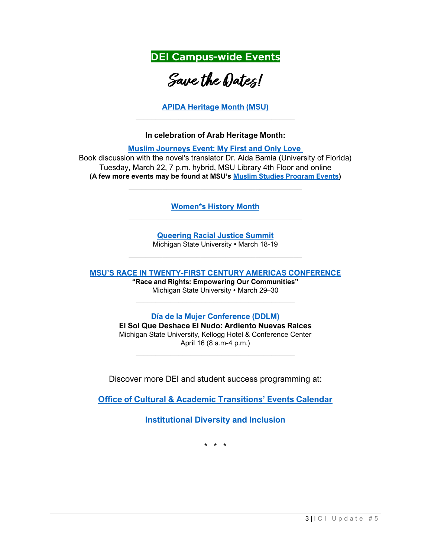**DEI Campus-wide Events** 

# Save the Dates!

**[APIDA Heritage Month \(MSU\)](https://studentlife.msu.edu/APIDAHM.html)**

#### **In celebration of Arab Heritage Month:**

**[Muslim Journeys Event:](https://muslimstudies.isp.msu.edu/about/reg-links) My First and Only Love**

Book discussion with the novel's translator Dr. Aida Bamia (University of Florida) Tuesday, March 22, 7 p.m. hybrid, MSU Library 4th Floor and online **(A few more events may be found at MSU's [Muslim Studies Program Events\)](https://muslimstudies.isp.msu.edu/about/reg-links)**

**[Women\\*s History Month](https://docs.google.com/document/d/1mKIGjFBkfjuOucFbADiaRbeiplueLwM5nq9EFQZr9Zc/edit)**

**[Queering Racial Justice Summit](https://gscc.msu.edu/programs/QueeringRacialJusticeSummit.html)** Michigan State University • March 18-19

**MSU'S RACE IN TWENTY[-FIRST CENTURY AMERICAS CONFERENCE](https://www.eventbrite.com/e/msu-race-in-21st-century-tickets-277020484727)**

**"Race and Rights: Empowering Our Communities"** Michigan State University • March 29–30

**[Día de la Mujer Conference \(DDLM\)](http://ddlm.ocat.msu.edu/)**

**El Sol Que Deshace El Nudo: Ardiento Nuevas Raices** Michigan State University, Kellogg Hotel & Conference Center April 16 (8 a.m-4 p.m.)

Discover more DEI and student success programming at:

**[Office of Cultural & Academic Transitions' Events Calendar](https://ocat.msu.edu/stay-connected/events-calendar-3/)**

**[Institutional Diversity and Inclusion](https://inclusion.msu.edu/events/index.html)**

\* \* \*